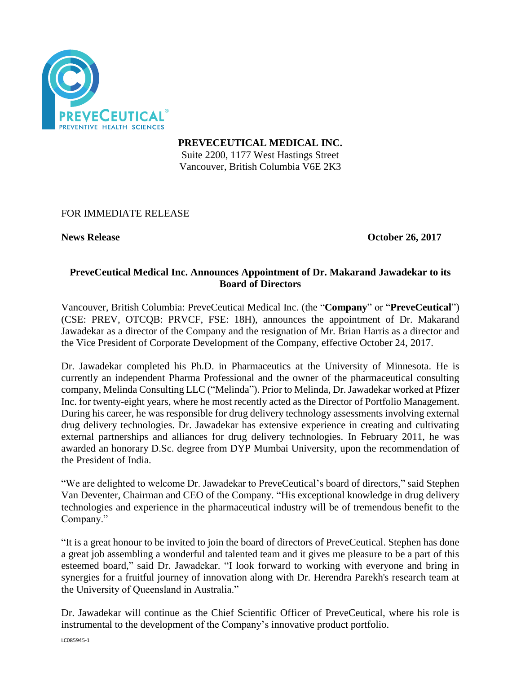

**PREVECEUTICAL MEDICAL INC.** Suite 2200, 1177 West Hastings Street Vancouver, British Columbia V6E 2K3

# FOR IMMEDIATE RELEASE

**News Release October 26, 2017**

#### **PreveCeutical Medical Inc. Announces Appointment of Dr. Makarand Jawadekar to its Board of Directors**

Vancouver, British Columbia: PreveCeutical Medical Inc. (the "**Company**" or "**PreveCeutical**") (CSE: PREV, OTCQB: PRVCF, FSE: 18H), announces the appointment of Dr. Makarand Jawadekar as a director of the Company and the resignation of Mr. Brian Harris as a director and the Vice President of Corporate Development of the Company, effective October 24, 2017.

Dr. Jawadekar completed his Ph.D. in Pharmaceutics at the University of Minnesota. He is currently an independent Pharma Professional and the owner of the pharmaceutical consulting company, Melinda Consulting LLC ("Melinda"). Prior to Melinda, Dr. Jawadekar worked at Pfizer Inc. for twenty-eight years, where he most recently acted as the Director of Portfolio Management. During his career, he was responsible for drug delivery technology assessments involving external drug delivery technologies. Dr. Jawadekar has extensive experience in creating and cultivating external partnerships and alliances for drug delivery technologies. In February 2011, he was awarded an honorary D.Sc. degree from DYP Mumbai University, upon the recommendation of the President of India.

"We are delighted to welcome Dr. Jawadekar to PreveCeutical's board of directors," said Stephen Van Deventer, Chairman and CEO of the Company. "His exceptional knowledge in drug delivery technologies and experience in the pharmaceutical industry will be of tremendous benefit to the Company."

"It is a great honour to be invited to join the board of directors of PreveCeutical. Stephen has done a great job assembling a wonderful and talented team and it gives me pleasure to be a part of this esteemed board," said Dr. Jawadekar. "I look forward to working with everyone and bring in synergies for a fruitful journey of innovation along with Dr. Herendra Parekh's research team at the University of Queensland in Australia."

Dr. Jawadekar will continue as the Chief Scientific Officer of PreveCeutical, where his role is instrumental to the development of the Company's innovative product portfolio.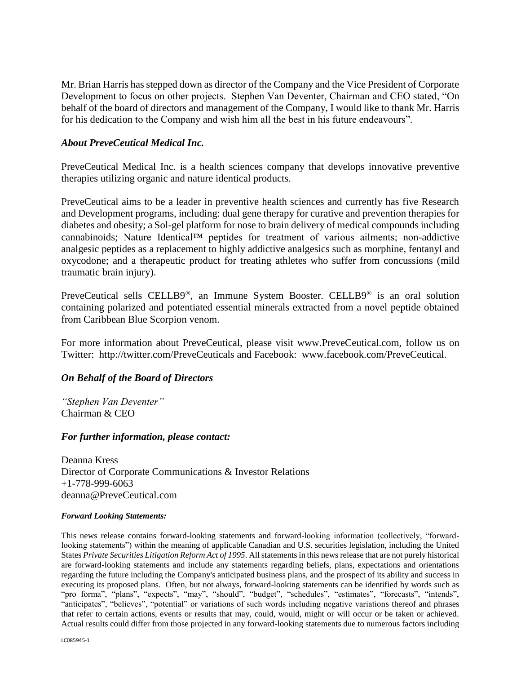Mr. Brian Harris has stepped down as director of the Company and the Vice President of Corporate Development to focus on other projects. Stephen Van Deventer, Chairman and CEO stated, "On behalf of the board of directors and management of the Company, I would like to thank Mr. Harris for his dedication to the Company and wish him all the best in his future endeavours".

### *About PreveCeutical Medical Inc.*

PreveCeutical Medical Inc. is a health sciences company that develops innovative preventive therapies utilizing organic and nature identical products.

PreveCeutical aims to be a leader in preventive health sciences and currently has five Research and Development programs, including: dual gene therapy for curative and prevention therapies for diabetes and obesity; a Sol-gel platform for nose to brain delivery of medical compounds including cannabinoids; Nature Identical™ peptides for treatment of various ailments; non-addictive analgesic peptides as a replacement to highly addictive analgesics such as morphine, fentanyl and oxycodone; and a therapeutic product for treating athletes who suffer from concussions (mild traumatic brain injury).

PreveCeutical sells CELLB9®, an Immune System Booster. CELLB9® is an oral solution containing polarized and potentiated essential minerals extracted from a novel peptide obtained from Caribbean Blue Scorpion venom.

For more information about PreveCeutical, please visit www.PreveCeutical.com, follow us on Twitter: http://twitter.com/PreveCeuticals and Facebook: www.facebook.com/PreveCeutical.

# *On Behalf of the Board of Directors*

*"Stephen Van Deventer"* Chairman & CEO

#### *For further information, please contact:*

Deanna Kress Director of Corporate Communications & Investor Relations +1-778-999-6063 deanna@PreveCeutical.com

#### *Forward Looking Statements:*

This news release contains forward-looking statements and forward-looking information (collectively, "forwardlooking statements") within the meaning of applicable Canadian and U.S. securities legislation, including the United States *Private Securities Litigation Reform Act of 1995*. All statements in this news release that are not purely historical are forward-looking statements and include any statements regarding beliefs, plans, expectations and orientations regarding the future including the Company's anticipated business plans, and the prospect of its ability and success in executing its proposed plans. Often, but not always, forward-looking statements can be identified by words such as "pro forma", "plans", "expects", "may", "should", "budget", "schedules", "estimates", "forecasts", "intends", "anticipates", "believes", "potential" or variations of such words including negative variations thereof and phrases that refer to certain actions, events or results that may, could, would, might or will occur or be taken or achieved. Actual results could differ from those projected in any forward-looking statements due to numerous factors including